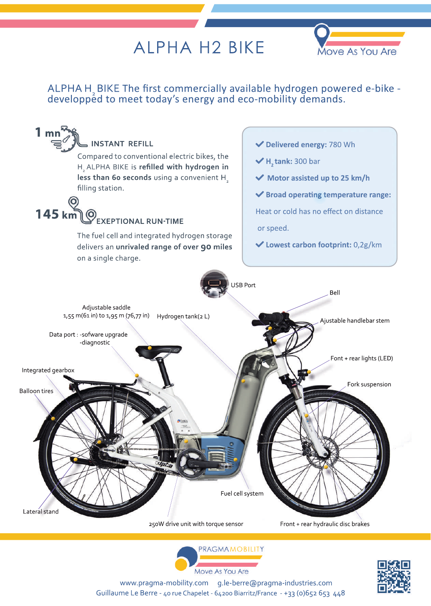## **ALPHA H2 BIKE**



## ALPHAH<sub>2</sub> BIKE The first commercially available hydrogen powered e-bike - developped to meet today's energy and eco-mobility demands.







www.pragma-mobility.com g.le-berre@pragma-industries.comGuillaume Le Berre - 40 rue Chapelet - 64200 Biarritz/France - +33 (0)652 653 448